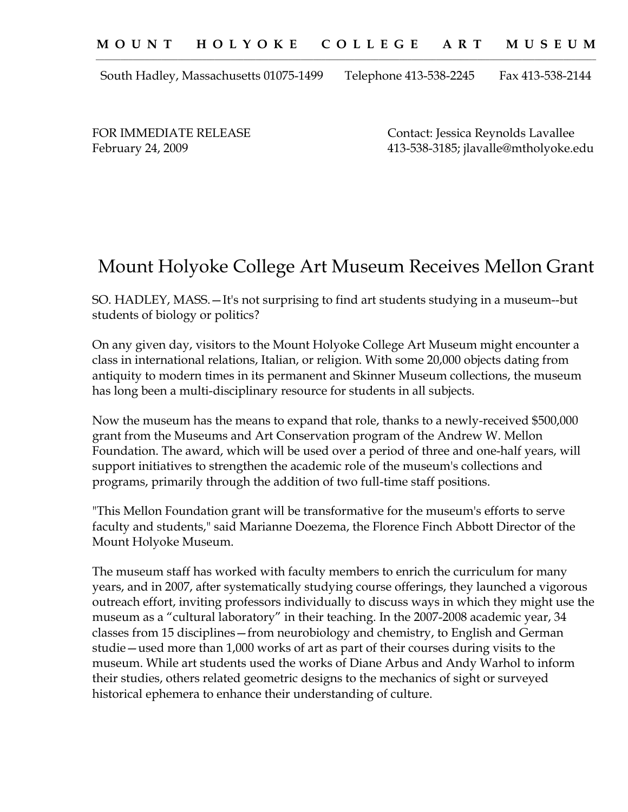South Hadley, Massachusetts 01075-1499 Telephone 413-538-2245 Fax 413-538-2144

FOR IMMEDIATE RELEASE Contact: Jessica Reynolds Lavallee February 24, 2009 413-538-3185; jlavalle@mtholyoke.edu

## Mount Holyoke College Art Museum Receives Mellon Grant

SO. HADLEY, MASS.—It's not surprising to find art students studying in a museum--but students of biology or politics?

On any given day, visitors to the Mount Holyoke College Art Museum might encounter a class in international relations, Italian, or religion. With some 20,000 objects dating from antiquity to modern times in its permanent and Skinner Museum collections, the museum has long been a multi-disciplinary resource for students in all subjects.

Now the museum has the means to expand that role, thanks to a newly-received \$500,000 grant from the Museums and Art Conservation program of the Andrew W. Mellon Foundation. The award, which will be used over a period of three and one-half years, will support initiatives to strengthen the academic role of the museum's collections and programs, primarily through the addition of two full-time staff positions.

"This Mellon Foundation grant will be transformative for the museum's efforts to serve faculty and students," said Marianne Doezema, the Florence Finch Abbott Director of the Mount Holyoke Museum.

The museum staff has worked with faculty members to enrich the curriculum for many years, and in 2007, after systematically studying course offerings, they launched a vigorous outreach effort, inviting professors individually to discuss ways in which they might use the museum as a "cultural laboratory" in their teaching. In the 2007-2008 academic year, 34 classes from 15 disciplines—from neurobiology and chemistry, to English and German studie—used more than 1,000 works of art as part of their courses during visits to the museum. While art students used the works of Diane Arbus and Andy Warhol to inform their studies, others related geometric designs to the mechanics of sight or surveyed historical ephemera to enhance their understanding of culture.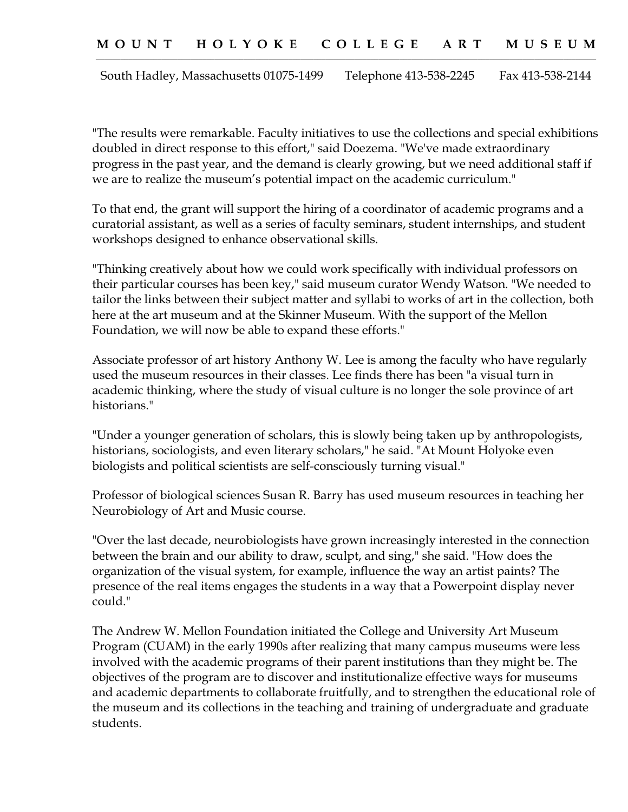South Hadley, Massachusetts 01075-1499 Telephone 413-538-2245 Fax 413-538-2144

"The results were remarkable. Faculty initiatives to use the collections and special exhibitions doubled in direct response to this effort," said Doezema. "We've made extraordinary progress in the past year, and the demand is clearly growing, but we need additional staff if we are to realize the museum's potential impact on the academic curriculum."

To that end, the grant will support the hiring of a coordinator of academic programs and a curatorial assistant, as well as a series of faculty seminars, student internships, and student workshops designed to enhance observational skills.

"Thinking creatively about how we could work specifically with individual professors on their particular courses has been key," said museum curator Wendy Watson. "We needed to tailor the links between their subject matter and syllabi to works of art in the collection, both here at the art museum and at the Skinner Museum. With the support of the Mellon Foundation, we will now be able to expand these efforts."

Associate professor of art history Anthony W. Lee is among the faculty who have regularly used the museum resources in their classes. Lee finds there has been "a visual turn in academic thinking, where the study of visual culture is no longer the sole province of art historians."

"Under a younger generation of scholars, this is slowly being taken up by anthropologists, historians, sociologists, and even literary scholars," he said. "At Mount Holyoke even biologists and political scientists are self-consciously turning visual."

Professor of biological sciences Susan R. Barry has used museum resources in teaching her Neurobiology of Art and Music course.

"Over the last decade, neurobiologists have grown increasingly interested in the connection between the brain and our ability to draw, sculpt, and sing," she said. "How does the organization of the visual system, for example, influence the way an artist paints? The presence of the real items engages the students in a way that a Powerpoint display never could."

The Andrew W. Mellon Foundation initiated the College and University Art Museum Program (CUAM) in the early 1990s after realizing that many campus museums were less involved with the academic programs of their parent institutions than they might be. The objectives of the program are to discover and institutionalize effective ways for museums and academic departments to collaborate fruitfully, and to strengthen the educational role of the museum and its collections in the teaching and training of undergraduate and graduate students.